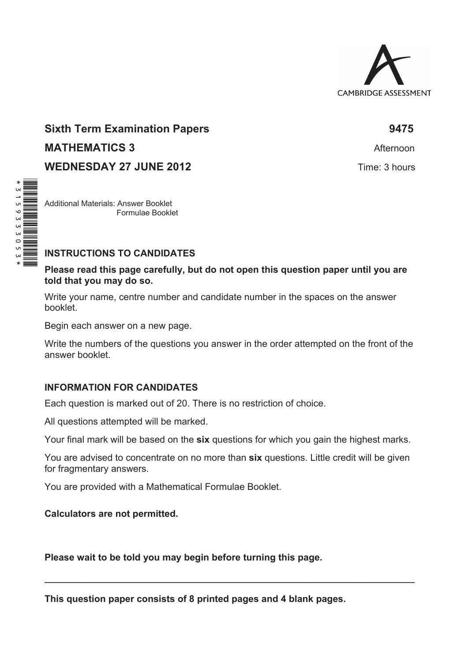

## **Sixth Term Examination Papers 6475 <b>9475 MATHEMATICS 3** Afternoon **WEDNESDAY 27 JUNE 2012 Time: 3 hours**

Additional Materials: Answer Booklet Formulae Booklet

 

**INSTRUCTIONS TO CANDIDATES** 

**Please read this page carefully, but do not open this question paper until you are told that you may do so.** 

Write your name, centre number and candidate number in the spaces on the answer booklet.

Begin each answer on a new page.

Write the numbers of the questions you answer in the order attempted on the front of the answer booklet.

### **INFORMATION FOR CANDIDATES**

Each question is marked out of 20. There is no restriction of choice.

All questions attempted will be marked.

Your final mark will be based on the **six** questions for which you gain the highest marks.

You are advised to concentrate on no more than **six** questions. Little credit will be given for fragmentary answers.

**\_\_\_\_\_\_\_\_\_\_\_\_\_\_\_\_\_\_\_\_\_\_\_\_\_\_\_\_\_\_\_\_\_\_\_\_\_\_\_\_\_\_\_\_\_\_\_\_\_\_\_\_\_\_\_\_\_\_\_\_\_\_\_\_\_\_\_\_\_\_\_\_\_\_\_\_\_** 

You are provided with a Mathematical Formulae Booklet.

**Calculators are not permitted.** 

**Please wait to be told you may begin before turning this page.** 

**This question paper consists of 8 printed pages and 4 blank pages.**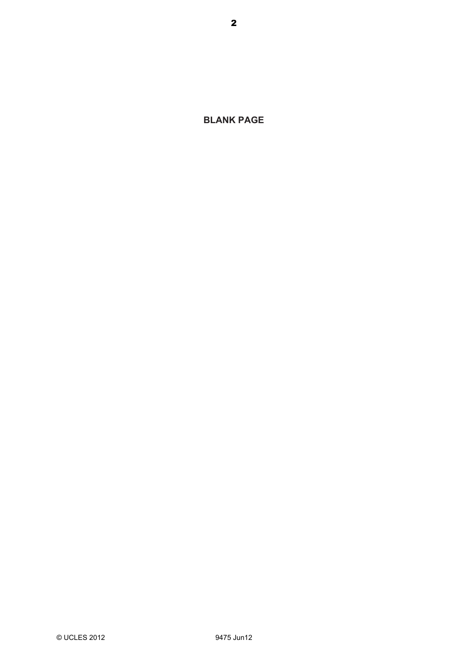# **BLANK PAGE**  e UCLES 2012<br>
BLANK PA<br>
© UCLES 2012<br>
9475 Jun12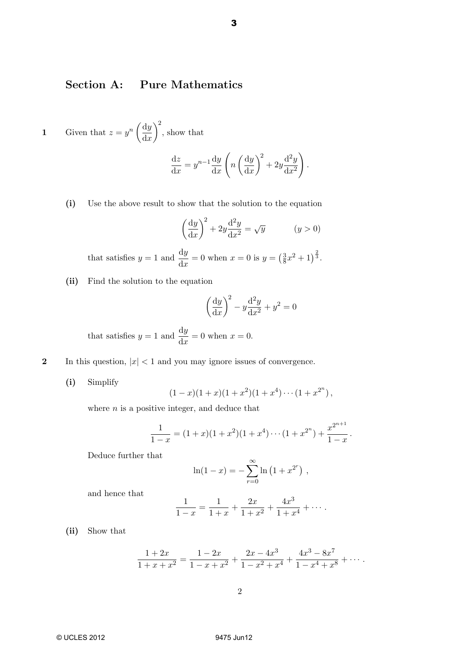### **Section A: Pure Mathematics**

**1** Given that  $z = y^n \left(\frac{dy}{dx}\right)$ d*x*  $\setminus^2$ , show that d*z*  $\frac{dz}{dx} = y^{n-1} \frac{dy}{dx}$ d*x*  $\sqrt{ }$ *n* d*y* d*x*  $\setminus^2$  $+ 2y \frac{d^2y}{dx^2}$  $dx^2$  $\setminus$ 3<br>
Section A: Pure Mathematics<br>
Given that  $z = y^n \left(\frac{dy}{dx}\right)^2$ , show that<br>  $\frac{dz}{dx} = y^{n-1} \frac{dy}{dx} \left(n \left(\frac{dy}{dx}\right)^2\right)$ <br>
(i) Use the above result to show that the solution<br>  $\left(\frac{dy}{dx}\right)^2 + 2y \frac{d^2y}{dx^2}$ <br>
that satisfies  $y = 1$ 

**(i)** Use the above result to show that the solution to the equation

$$
\left(\frac{dy}{dx}\right)^2 + 2y\frac{d^2y}{dx^2} = \sqrt{y} \qquad (y > 0)
$$

*.*

that satisfies  $y = 1$  and  $\frac{dy}{dx} = 0$  when  $x = 0$  is  $y = \left(\frac{3}{8}\right)$  $\frac{3}{8}x^2+1\right)^{\frac{2}{3}}$ .

**(ii)** Find the solution to the equation

$$
\left(\frac{\mathrm{d}y}{\mathrm{d}x}\right)^2 - y\frac{\mathrm{d}^2y}{\mathrm{d}x^2} + y^2 = 0
$$

that satisfies  $y = 1$  and  $\frac{dy}{dx} = 0$  when  $x = 0$ .

- **2** In this question, *|x| <* 1 and you may ignore issues of convergence.
	- **(i)** Simplify

$$
(1-x)(1+x)(1+x^2)(1+x^4)\cdots(1+x^{2^n}),
$$

where *n* is a positive integer, and deduce that

$$
\frac{1}{1-x} = (1+x)(1+x^2)(1+x^4)\cdots(1+x^{2^n}) + \frac{x^{2^{n+1}}}{1-x}.
$$

Deduce further that

$$
\ln(1-x) = -\sum_{r=0}^{\infty} \ln(1+x^{2^r}),
$$

and hence that

$$
\frac{1}{1-x} = \frac{1}{1+x} + \frac{2x}{1+x^2} + \frac{4x^3}{1+x^4} + \cdots
$$

**(ii)** Show that

$$
\frac{1+2x}{1+x+x^2} = \frac{1-2x}{1-x+x^2} + \frac{2x-4x^3}{1-x^2+x^4} + \frac{4x^3-8x^7}{1-x^4+x^8} + \cdots
$$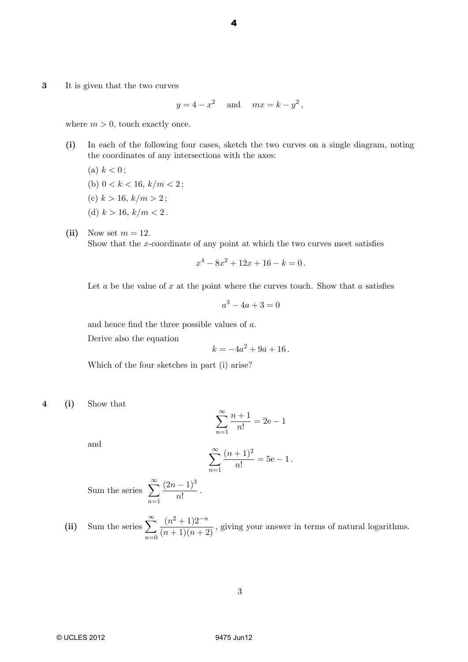**3** It is given that the two curves

$$
y = 4 - x^2 \quad \text{and} \quad mx = k - y^2,
$$

where  $m > 0$ , touch exactly once.

- **(i)** In each of the following four cases, sketch the two curves on a single diagram, noting the coordinates of any intersections with the axes:
	- $(a) k < 0$ ; (b)  $0 < k < 16, k/m < 2$ ; (c)  $k > 16$ ,  $k/m > 2$ ; (d)  $k > 16$ ,  $k/m < 2$ .
- (ii) Now set  $m = 12$ . Show that the *x*-coordinate of any point at which the two curves meet satisfies

$$
x^4 - 8x^2 + 12x + 16 - k = 0.
$$

Let *a* be the value of *x* at the point where the curves touch. Show that *a* satisfies

$$
a^3 - 4a + 3 = 0
$$

and hence find the three possible values of *a*.

Derive also the equation

$$
k = -4a^2 + 9a + 16.
$$

Which of the four sketches in part (i) arise?

**4 (i)** Show that

$$
\sum_{n=1}^{\infty} \frac{n+1}{n!} = 2e - 1
$$

and

$$
\sum_{n=1}^{\infty} \frac{(n+1)^2}{n!} = 5e - 1.
$$

Sum the series  $\sum_{n=1}^{\infty}$ *n*=1  $(2n-1)^3$  $\frac{1}{n!}$ .

**(ii)** Sum the series  $\sum_{n=1}^{\infty}$ *n*=0  $(n^2 + 1)2^{-n}$  $\frac{(n+1)(n+2)}{(n+1)(n+2)}$ , giving your answer in terms of natural logarithms. 4<br> **Example 12** It is given that the two curves<br>  $y = 4 - x^2$  and<br>
where  $m > 0$ , touch exactly once.<br>
(1) In each of the following four cases, sketch the coordinates of any intersections with the<br>
(a)  $k < 0$ ,  $k = 16$ ,  $k/m <$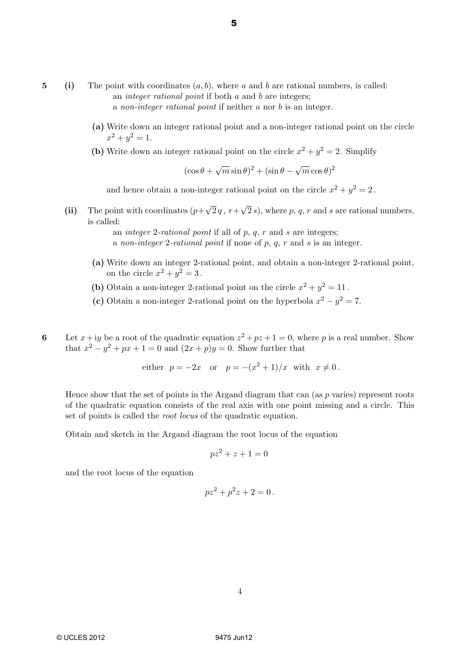- **5 (i)** The point with coordinates (*a, b*), where *a* and *b* are rational numbers, is called: an *integer rational point* if both *a* and *b* are integers; a *non-integer rational point* if neither *a* nor *b* is an integer.
	- **(a)** Write down an integer rational point and a non-integer rational point on the circle  $x^2 + y^2 = 1.$
	- (b) Write down an integer rational point on the circle  $x^2 + y^2 = 2$ . Simplify

$$
(\cos\theta+\sqrt{m}\sin\theta)^2+(\sin\theta-\sqrt{m}\cos\theta)^2
$$

and hence obtain a non-integer rational point on the circle  $x^2 + y^2 = 2$ .

(ii) The point with coordinates  $(p+\sqrt{2}q, r+\sqrt{2} s)$ , where p, q, r and s are rational numbers, is called:

> an *integer* 2*-rational point* if all of *p*, *q*, *r* and *s* are integers; a *non-integer* 2*-rational point* if none of *p*, *q*, *r* and *s* is an integer.

- **(a)** Write down an integer 2-rational point, and obtain a non-integer 2-rational point, on the circle  $x^2 + y^2 = 3$ .
- (b) Obtain a non-integer 2-rational point on the circle  $x^2 + y^2 = 11$ .
- (c) Obtain a non-integer 2-rational point on the hyperbola  $x^2 y^2 = 7$ .
- **6** Let  $x + iy$  be a root of the quadratic equation  $z^2 + pz + 1 = 0$ , where p is a real number. Show that  $x^2 - y^2 + px + 1 = 0$  and  $(2x + p)y = 0$ . Show further that

either 
$$
p = -2x
$$
 or  $p = -(x^2 + 1)/x$  with  $x \neq 0$ .

Hence show that the set of points in the Argand diagram that can (as *p* varies) represent roots of the quadratic equation consists of the real axis with one point missing and a circle. This set of points is called the *root locus* of the quadratic equation. **S**<br>
(1) The point with coordinates  $(a, b)$ , where a summarizer rational point if both a summarizer rational point if not<br>
(a) Write down an integer rational point if neither<br>
(a) Write down an integer rational point is<br>

Obtain and sketch in the Argand diagram the root locus of the equation

$$
pz^2 + z + 1 = 0
$$

and the root locus of the equation

$$
pz^2 + p^2z + 2 = 0.
$$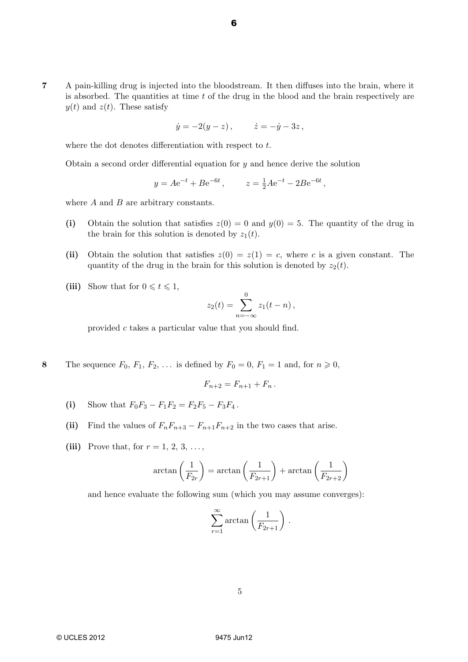**7** A pain-killing drug is injected into the bloodstream. It then diffuses into the brain, where it is absorbed. The quantities at time *t* of the drug in the blood and the brain respectively are  $y(t)$  and  $z(t)$ . These satisfy G<br>
A pain-killing drug is injected into the bloodstres<br>
is absorbed. The quantities at time t of the drug<br>  $y(t)$  and  $z(t)$ . These satisfy<br>  $\dot{y} = -2(y - z)$ ,<br>
where the dot denotes differentiation with respect<br>
Obtain a seco

$$
\dot{y} = -2(y - z),
$$
  $\dot{z} = -\dot{y} - 3z,$ 

where the dot denotes differentiation with respect to *t*.

Obtain a second order differential equation for *y* and hence derive the solution

$$
y = Ae^{-t} + Be^{-6t}
$$
,  $z = \frac{1}{2}Ae^{-t} - 2Be^{-6t}$ ,

where *A* and *B* are arbitrary constants.

- (i) Obtain the solution that satisfies  $z(0) = 0$  and  $y(0) = 5$ . The quantity of the drug in the brain for this solution is denoted by  $z_1(t)$ .
- (ii) Obtain the solution that satisfies  $z(0) = z(1) = c$ , where *c* is a given constant. The quantity of the drug in the brain for this solution is denoted by  $z_2(t)$ .
- (iii) Show that for  $0 \le t \le 1$ ,

$$
z_2(t) = \sum_{n = -\infty}^{0} z_1(t - n),
$$

provided *c* takes a particular value that you should find.

**8** The sequence  $F_0, F_1, F_2, ...$  is defined by  $F_0 = 0, F_1 = 1$  and, for  $n \ge 0$ ,

$$
F_{n+2}=F_{n+1}+F_n.
$$

- (i) Show that  $F_0F_3 F_1F_2 = F_2F_5 F_3F_4$ .
- (ii) Find the values of  $F_n F_{n+3} F_{n+1} F_{n+2}$  in the two cases that arise.
- (iii) Prove that, for  $r = 1, 2, 3, ...$ ,

$$
\arctan\left(\frac{1}{F_{2r}}\right) = \arctan\left(\frac{1}{F_{2r+1}}\right) + \arctan\left(\frac{1}{F_{2r+2}}\right)
$$

and hence evaluate the following sum (which you may assume converges):

$$
\sum_{r=1}^{\infty} \arctan\left(\frac{1}{F_{2r+1}}\right).
$$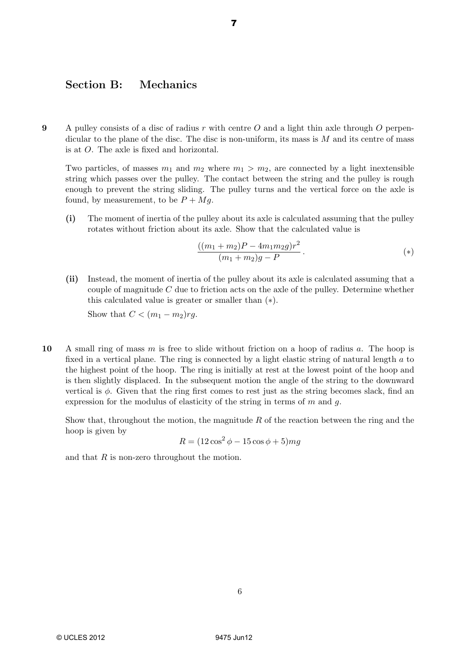### **Section B: Mechanics**

**9** A pulley consists of a disc of radius *r* with centre *O* and a light thin axle through *O* perpendicular to the plane of the disc. The disc is non-uniform, its mass is *M* and its centre of mass is at *O*. The axle is fixed and horizontal.

Two particles, of masses  $m_1$  and  $m_2$  where  $m_1 > m_2$ , are connected by a light inextensible string which passes over the pulley. The contact between the string and the pulley is rough enough to prevent the string sliding. The pulley turns and the vertical force on the axle is found, by measurement, to be  $P + Mg$ .

**(i)** The moment of inertia of the pulley about its axle is calculated assuming that the pulley rotates without friction about its axle. Show that the calculated value is

$$
\frac{((m_1+m_2)P-4m_1m_2g)r^2}{(m_1+m_2)g-P}.
$$
 (\*)

**(ii)** Instead, the moment of inertia of the pulley about its axle is calculated assuming that a couple of magnitude *C* due to friction acts on the axle of the pulley. Determine whether this calculated value is greater or smaller than (*∗*).

Show that  $C < (m_1 - m_2)rq$ .

**10** A small ring of mass *m* is free to slide without friction on a hoop of radius *a*. The hoop is fixed in a vertical plane. The ring is connected by a light elastic string of natural length *a* to the highest point of the hoop. The ring is initially at rest at the lowest point of the hoop and is then slightly displaced. In the subsequent motion the angle of the string to the downward vertical is *φ*. Given that the ring first comes to rest just as the string becomes slack, find an expression for the modulus of elasticity of the string in terms of *m* and *g*. 7<br>
Section B: Mechanics<br>
A pulley consists of a disc of radius *r* with center<br>
discular to the plane of the disc. The disc is non-un<br>
is at *O*. The axie is fixed and lorizontal.<br>
Two particles, of masses *m*<sub>1</sub> and *m*<sub></sub>

Show that, throughout the motion, the magnitude *R* of the reaction between the ring and the hoop is given by

 $R = (12 \cos^2 \phi - 15 \cos \phi + 5)$ *mg* 

and that *R* is non-zero throughout the motion.

6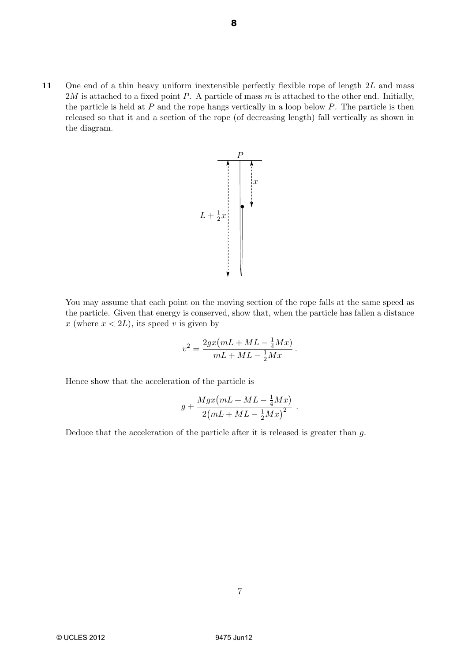**11** One end of a thin heavy uniform inextensible perfectly flexible rope of length 2*L* and mass 2*M* is attached to a fixed point *P*. A particle of mass *m* is attached to the other end. Initially, the particle is held at *P* and the rope hangs vertically in a loop below *P*. The particle is then released so that it and a section of the rope (of decreasing length) fall vertically as shown in the diagram. **G**<br>
One end of a thin heavy uniform inextensible pe<br>
2*N* is attached to a fixed point *P*. A particle of m<br>
the particle is held at *P* and the rope hangs vertice<br>
released so that it and a section of the rope (of d<br>
th



You may assume that each point on the moving section of the rope falls at the same speed as the particle. Given that energy is conserved, show that, when the particle has fallen a distance x (where  $x < 2L$ ), its speed v is given by

$$
v^2 = \frac{2gx\left(mL + ML - \frac{1}{4}Mx\right)}{mL + ML - \frac{1}{2}Mx}.
$$

Hence show that the acceleration of the particle is

$$
g+\frac{Mgx\bigl(mL+ML-\frac{1}{4}Mx\bigr)}{2\bigl(mL+ML-\frac{1}{2}Mx\bigr)^2}.
$$

Deduce that the acceleration of the particle after it is released is greater than *g*.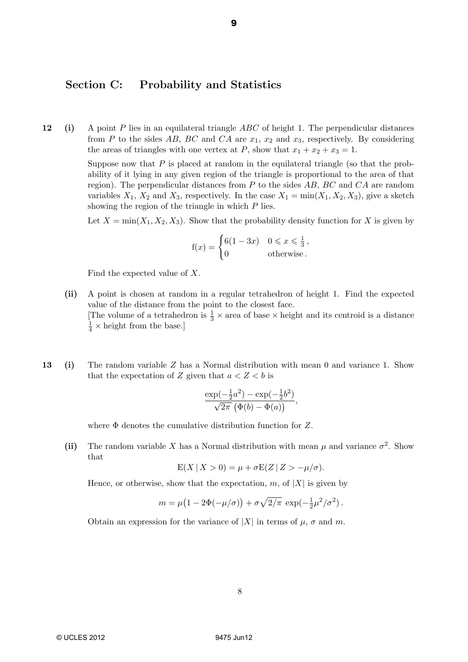### **Section C: Probability and Statistics**

**12 (i)** A point *P* lies in an equilateral triangle *ABC* of height 1. The perpendicular distances from *P* to the sides  $AB$ ,  $BC$  and  $CA$  are  $x_1$ ,  $x_2$  and  $x_3$ , respectively. By considering the areas of triangles with one vertex at *P*, show that  $x_1 + x_2 + x_3 = 1$ .

Suppose now that  $P$  is placed at random in the equilateral triangle (so that the probability of it lying in any given region of the triangle is proportional to the area of that region). The perpendicular distances from *P* to the sides *AB*, *BC* and *CA* are random variables  $X_1$ ,  $X_2$  and  $X_3$ , respectively. In the case  $X_1 = \min(X_1, X_2, X_3)$ , give a sketch showing the region of the triangle in which *P* lies. 9<br>
Section C: Probability and Stat<br>
(i) A point *P* lies in an equilateral triangle *AB*<br>
the area of triangles with one rote can CA are<br>
the area of triangles with one vertex at *P*,<br>
Suppose now that *P* is placed at ra

Let  $X = \min(X_1, X_2, X_3)$ . Show that the probability density function for X is given by

$$
f(x) = \begin{cases} 6(1-3x) & 0 \leq x \leq \frac{1}{3}, \\ 0 & \text{otherwise}. \end{cases}
$$

Find the expected value of *X*.

- **(ii)** A point is chosen at random in a regular tetrahedron of height 1. Find the expected value of the distance from the point to the closest face. The volume of a tetrahedron is  $\frac{1}{3} \times$  area of base  $\times$  height and its centroid is a distance  $\frac{1}{4}$  × height from the base.]
- **13 (i)** The random variable *Z* has a Normal distribution with mean 0 and variance 1. Show that the expectation of *Z* given that  $a < Z < b$  is

$$
\frac{\exp(-\frac{1}{2}a^2) - \exp(-\frac{1}{2}b^2)}{\sqrt{2\pi}(\Phi(b) - \Phi(a))},
$$

where Φ denotes the cumulative distribution function for *Z*.

(ii) The random variable *X* has a Normal distribution with mean  $\mu$  and variance  $\sigma^2$ . Show that

$$
E(X \mid X > 0) = \mu + \sigma E(Z \mid Z > -\mu/\sigma).
$$

Hence, or otherwise, show that the expectation,  $m$ , of  $|X|$  is given by

$$
m = \mu (1 - 2\Phi(-\mu/\sigma)) + \sigma \sqrt{2/\pi} \exp(-\frac{1}{2}\mu^2/\sigma^2).
$$

Obtain an expression for the variance of  $|X|$  in terms of  $\mu$ ,  $\sigma$  and  $m$ .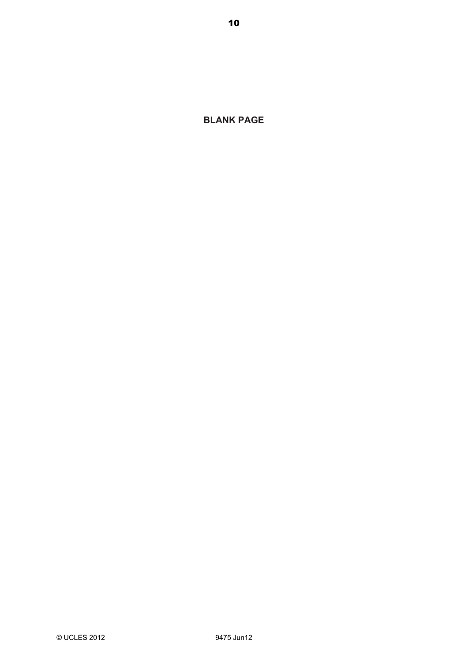# **BLANK PAGE**  10<br>
BLANK PA<br>
© UCLES 2012<br>
9475 Jun12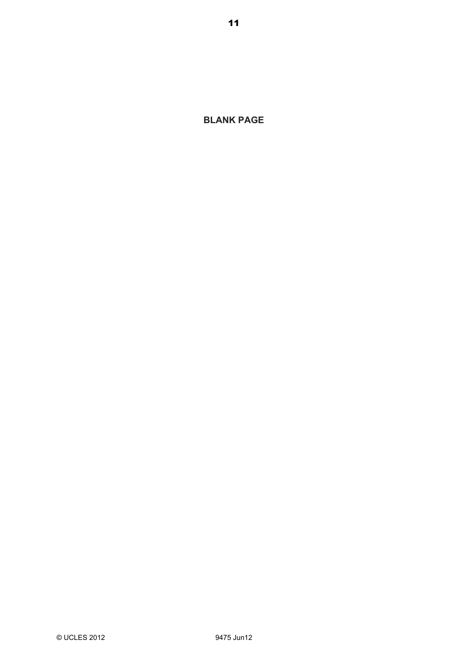**BLANK PAGE**  11<br>
BLANK PA<br>
© UCLES 2012<br>
9475 Jun12